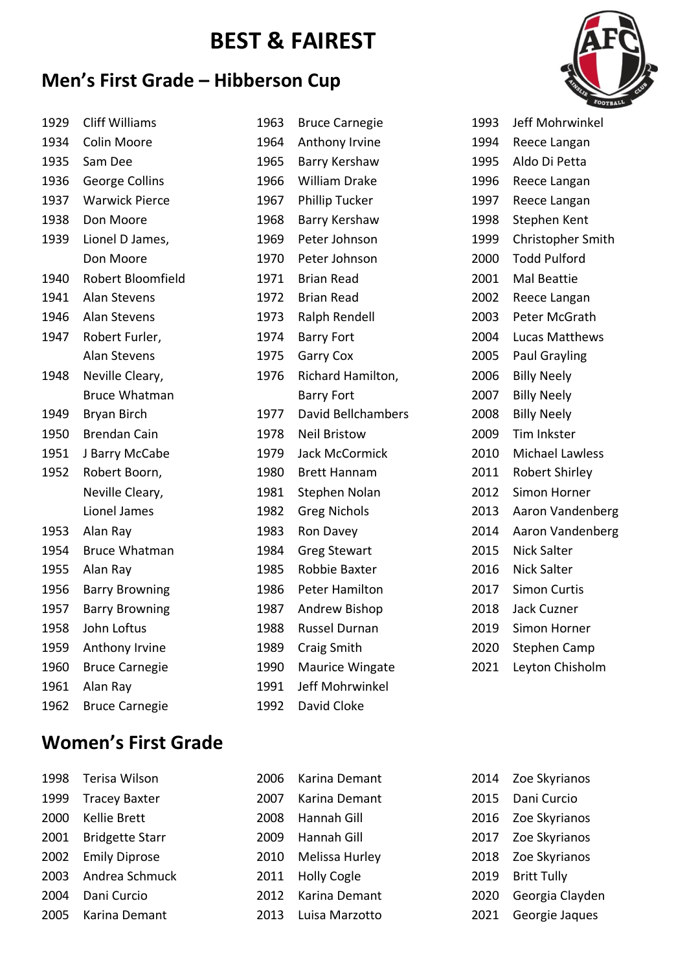# **BEST & FAIREST**

### **Men's First Grade – Hibberson Cup**



| 1929 | <b>Cliff Williams</b> | 1963 | <b>Bruce Carnegie</b>     | 1993 | Jeff Mohrwinkel        |
|------|-----------------------|------|---------------------------|------|------------------------|
| 1934 | Colin Moore           | 1964 | Anthony Irvine            | 1994 | Reece Langan           |
| 1935 | Sam Dee               | 1965 | Barry Kershaw             | 1995 | Aldo Di Petta          |
| 1936 | George Collins        | 1966 | <b>William Drake</b>      | 1996 | Reece Langan           |
| 1937 | <b>Warwick Pierce</b> | 1967 | Phillip Tucker            | 1997 | Reece Langan           |
| 1938 | Don Moore             | 1968 | Barry Kershaw             | 1998 | Stephen Kent           |
| 1939 | Lionel D James,       | 1969 | Peter Johnson             | 1999 | Christopher Smith      |
|      | Don Moore             | 1970 | Peter Johnson             | 2000 | <b>Todd Pulford</b>    |
| 1940 | Robert Bloomfield     | 1971 | <b>Brian Read</b>         | 2001 | Mal Beattie            |
| 1941 | <b>Alan Stevens</b>   | 1972 | <b>Brian Read</b>         | 2002 | Reece Langan           |
| 1946 | Alan Stevens          | 1973 | Ralph Rendell             | 2003 | Peter McGrath          |
| 1947 | Robert Furler,        | 1974 | <b>Barry Fort</b>         | 2004 | Lucas Matthews         |
|      | <b>Alan Stevens</b>   | 1975 | <b>Garry Cox</b>          | 2005 | <b>Paul Grayling</b>   |
| 1948 | Neville Cleary,       | 1976 | Richard Hamilton,         | 2006 | <b>Billy Neely</b>     |
|      | <b>Bruce Whatman</b>  |      | <b>Barry Fort</b>         | 2007 | <b>Billy Neely</b>     |
| 1949 | Bryan Birch           | 1977 | <b>David Bellchambers</b> | 2008 | <b>Billy Neely</b>     |
| 1950 | <b>Brendan Cain</b>   | 1978 | <b>Neil Bristow</b>       | 2009 | Tim Inkster            |
| 1951 | J Barry McCabe        | 1979 | Jack McCormick            | 2010 | <b>Michael Lawless</b> |
| 1952 | Robert Boorn,         | 1980 | <b>Brett Hannam</b>       | 2011 | Robert Shirley         |
|      | Neville Cleary,       | 1981 | Stephen Nolan             | 2012 | Simon Horner           |
|      | Lionel James          | 1982 | <b>Greg Nichols</b>       | 2013 | Aaron Vandenberg       |
| 1953 | Alan Ray              | 1983 | Ron Davey                 | 2014 | Aaron Vandenberg       |
| 1954 | <b>Bruce Whatman</b>  | 1984 | <b>Greg Stewart</b>       | 2015 | <b>Nick Salter</b>     |
| 1955 | Alan Ray              | 1985 | Robbie Baxter             | 2016 | Nick Salter            |
| 1956 | <b>Barry Browning</b> | 1986 | Peter Hamilton            | 2017 | <b>Simon Curtis</b>    |
| 1957 | <b>Barry Browning</b> | 1987 | Andrew Bishop             | 2018 | Jack Cuzner            |
| 1958 | John Loftus           | 1988 | Russel Durnan             | 2019 | Simon Horner           |
| 1959 | Anthony Irvine        | 1989 | Craig Smith               | 2020 | Stephen Camp           |
| 1960 | <b>Bruce Carnegie</b> | 1990 | Maurice Wingate           | 2021 | Leyton Chisholm        |
| 1961 | Alan Ray              | 1991 | Jeff Mohrwinkel           |      |                        |
| 1962 | <b>Bruce Carnegie</b> | 1992 | David Cloke               |      |                        |

### **Women's First Grade**

| 1998 | Terisa Wilson          | 2006 | Karina Demant      | 2014 | Zoe Skyrianos      |
|------|------------------------|------|--------------------|------|--------------------|
| 1999 | <b>Tracey Baxter</b>   | 2007 | Karina Demant      | 2015 | Dani Curcio        |
| 2000 | Kellie Brett           | 2008 | Hannah Gill        |      | 2016 Zoe Skyrianos |
| 2001 | <b>Bridgette Starr</b> | 2009 | Hannah Gill        | 2017 | Zoe Skyrianos      |
| 2002 | <b>Emily Diprose</b>   | 2010 | Melissa Hurley     | 2018 | Zoe Skyrianos      |
| 2003 | Andrea Schmuck         | 2011 | <b>Holly Cogle</b> | 2019 | <b>Britt Tully</b> |
| 2004 | Dani Curcio            | 2012 | Karina Demant      | 2020 | Georgia Clayden    |
| 2005 | Karina Demant          | 2013 | Luisa Marzotto     | 2021 | Georgie Jaques     |